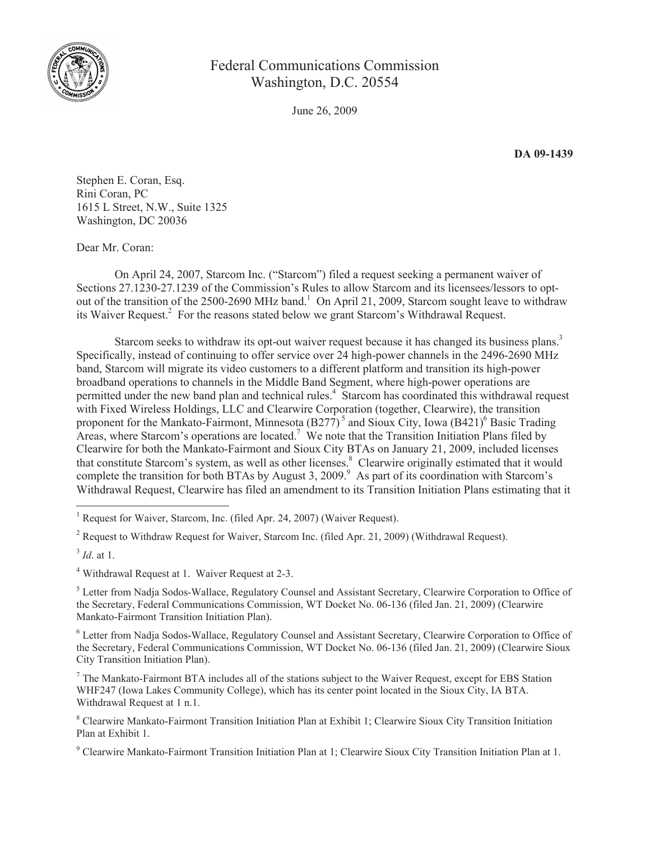

## Federal Communications Commission Washington, D.C. 20554

June 26, 2009

**DA 09-1439**

Stephen E. Coran, Esq. Rini Coran, PC 1615 L Street, N.W., Suite 1325 Washington, DC 20036

Dear Mr. Coran:

On April 24, 2007, Starcom Inc. ("Starcom") filed a request seeking a permanent waiver of Sections 27.1230-27.1239 of the Commission's Rules to allow Starcom and its licensees/lessors to optout of the transition of the 2500-2690 MHz band.<sup>1</sup> On April 21, 2009, Starcom sought leave to withdraw its Waiver Request.<sup>2</sup> For the reasons stated below we grant Starcom's Withdrawal Request.

Starcom seeks to withdraw its opt-out waiver request because it has changed its business plans.<sup>3</sup> Specifically, instead of continuing to offer service over 24 high-power channels in the 2496-2690 MHz band, Starcom will migrate its video customers to a different platform and transition its high-power broadband operations to channels in the Middle Band Segment, where high-power operations are permitted under the new band plan and technical rules.<sup>4</sup> Starcom has coordinated this withdrawal request with Fixed Wireless Holdings, LLC and Clearwire Corporation (together, Clearwire), the transition proponent for the Mankato-Fairmont, Minnesota  $(B277)^5$  and Sioux City, Iowa  $(B421)^6$  Basic Trading Areas, where Starcom's operations are located.<sup>7</sup> We note that the Transition Initiation Plans filed by Clearwire for both the Mankato-Fairmont and Sioux City BTAs on January 21, 2009, included licenses that constitute Starcom's system, as well as other licenses.<sup>8</sup> Clearwire originally estimated that it would complete the transition for both BTAs by August 3, 2009.<sup>9</sup> As part of its coordination with Starcom's Withdrawal Request, Clearwire has filed an amendment to its Transition Initiation Plans estimating that it

<sup>2</sup> Request to Withdraw Request for Waiver, Starcom Inc. (filed Apr. 21, 2009) (Withdrawal Request).

3 *Id*. at 1.

<sup>4</sup> Withdrawal Request at 1. Waiver Request at 2-3.

<sup>5</sup> Letter from Nadja Sodos-Wallace, Regulatory Counsel and Assistant Secretary, Clearwire Corporation to Office of the Secretary, Federal Communications Commission, WT Docket No. 06-136 (filed Jan. 21, 2009) (Clearwire Mankato-Fairmont Transition Initiation Plan).

<sup>6</sup> Letter from Nadja Sodos-Wallace, Regulatory Counsel and Assistant Secretary, Clearwire Corporation to Office of the Secretary, Federal Communications Commission, WT Docket No. 06-136 (filed Jan. 21, 2009) (Clearwire Sioux City Transition Initiation Plan).

<sup>7</sup> The Mankato-Fairmont BTA includes all of the stations subject to the Waiver Request, except for EBS Station WHF247 (Iowa Lakes Community College), which has its center point located in the Sioux City, IA BTA. Withdrawal Request at 1 n.1.

<sup>8</sup> Clearwire Mankato-Fairmont Transition Initiation Plan at Exhibit 1; Clearwire Sioux City Transition Initiation Plan at Exhibit 1.

<sup>9</sup> Clearwire Mankato-Fairmont Transition Initiation Plan at 1; Clearwire Sioux City Transition Initiation Plan at 1.

<sup>&</sup>lt;sup>1</sup> Request for Waiver, Starcom, Inc. (filed Apr. 24, 2007) (Waiver Request).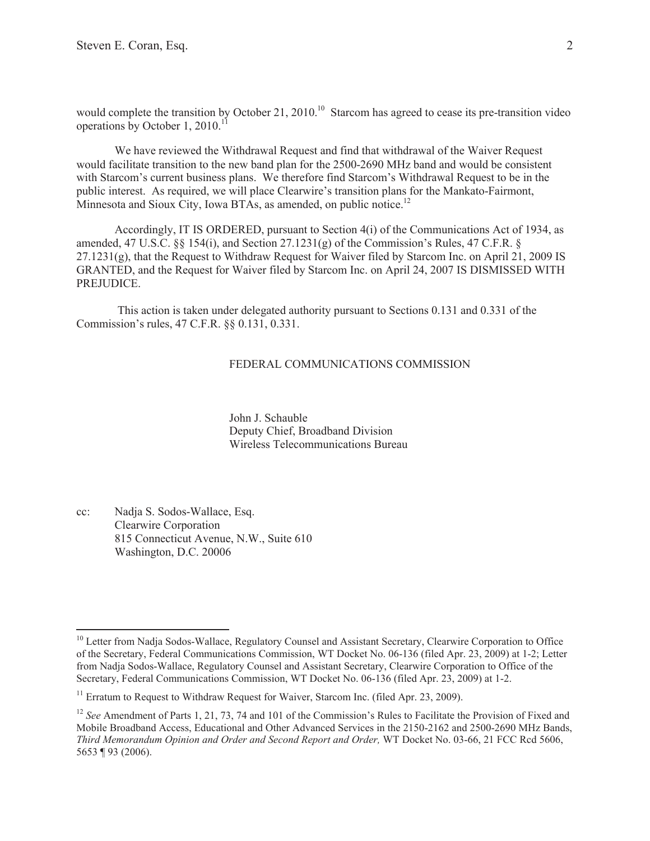would complete the transition by October 21, 2010.<sup>10</sup> Starcom has agreed to cease its pre-transition video operations by October 1, 2010.<sup>11</sup>

We have reviewed the Withdrawal Request and find that withdrawal of the Waiver Request would facilitate transition to the new band plan for the 2500-2690 MHz band and would be consistent with Starcom's current business plans. We therefore find Starcom's Withdrawal Request to be in the public interest. As required, we will place Clearwire's transition plans for the Mankato-Fairmont, Minnesota and Sioux City, Iowa BTAs, as amended, on public notice.<sup>12</sup>

Accordingly, IT IS ORDERED, pursuant to Section 4(i) of the Communications Act of 1934, as amended, 47 U.S.C. §§ 154(i), and Section 27.1231(g) of the Commission's Rules, 47 C.F.R. § 27.1231(g), that the Request to Withdraw Request for Waiver filed by Starcom Inc. on April 21, 2009 IS GRANTED, and the Request for Waiver filed by Starcom Inc. on April 24, 2007 IS DISMISSED WITH PREJUDICE.

This action is taken under delegated authority pursuant to Sections 0.131 and 0.331 of the Commission's rules, 47 C.F.R. §§ 0.131, 0.331.

## FEDERAL COMMUNICATIONS COMMISSION

John J. Schauble Deputy Chief, Broadband Division Wireless Telecommunications Bureau

cc: Nadja S. Sodos-Wallace, Esq. Clearwire Corporation 815 Connecticut Avenue, N.W., Suite 610 Washington, D.C. 20006

<sup>&</sup>lt;sup>10</sup> Letter from Nadja Sodos-Wallace, Regulatory Counsel and Assistant Secretary, Clearwire Corporation to Office of the Secretary, Federal Communications Commission, WT Docket No. 06-136 (filed Apr. 23, 2009) at 1-2; Letter from Nadja Sodos-Wallace, Regulatory Counsel and Assistant Secretary, Clearwire Corporation to Office of the Secretary, Federal Communications Commission, WT Docket No. 06-136 (filed Apr. 23, 2009) at 1-2.

<sup>&</sup>lt;sup>11</sup> Erratum to Request to Withdraw Request for Waiver, Starcom Inc. (filed Apr. 23, 2009).

<sup>&</sup>lt;sup>12</sup> *See* Amendment of Parts 1, 21, 73, 74 and 101 of the Commission's Rules to Facilitate the Provision of Fixed and Mobile Broadband Access, Educational and Other Advanced Services in the 2150-2162 and 2500-2690 MHz Bands, *Third Memorandum Opinion and Order and Second Report and Order,* WT Docket No. 03-66, 21 FCC Rcd 5606, 5653 ¶ 93 (2006).